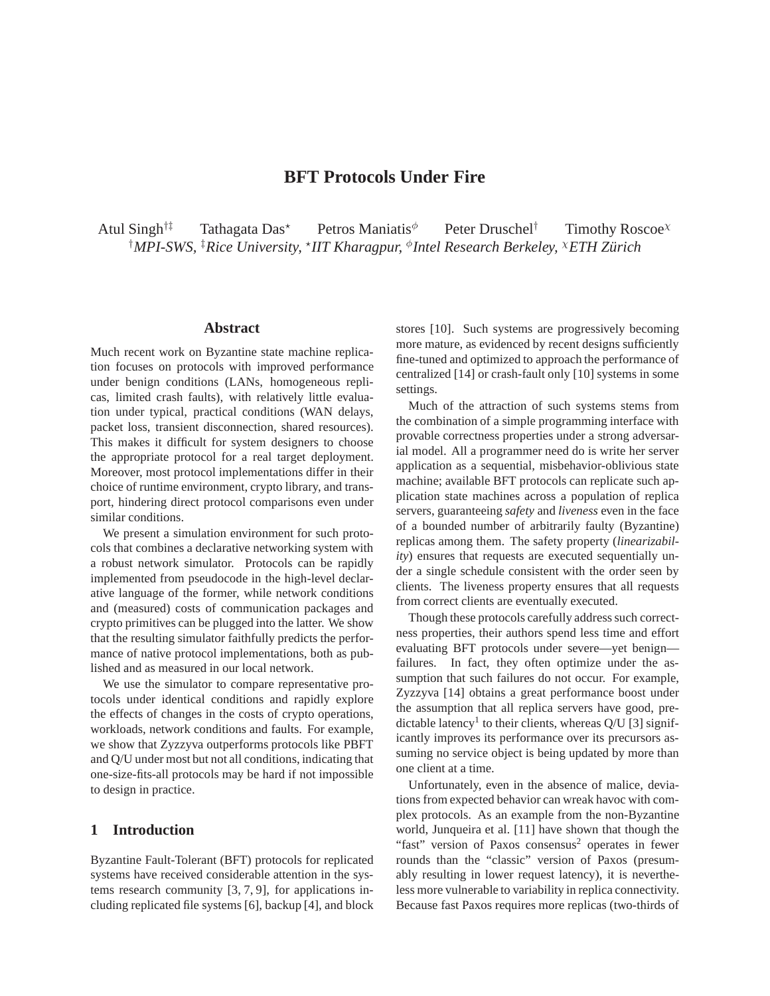# **BFT Protocols Under Fire**

Atul Singh<sup>†‡</sup> Tathagata Das<sup>\*</sup> Petros Maniatis<sup> $\phi$ </sup> Peter Druschel<sup>†</sup> Timothy Roscoe<sup> $\chi$ </sup> †*MPI-SWS,* ‡*Rice University,* <sup>⋆</sup> *IIT Kharagpur,* <sup>φ</sup> *Intel Research Berkeley,* <sup>χ</sup>*ETH Zürich*

## **Abstract**

Much recent work on Byzantine state machine replication focuses on protocols with improved performance under benign conditions (LANs, homogeneous replicas, limited crash faults), with relatively little evaluation under typical, practical conditions (WAN delays, packet loss, transient disconnection, shared resources). This makes it difficult for system designers to choose the appropriate protocol for a real target deployment. Moreover, most protocol implementations differ in their choice of runtime environment, crypto library, and transport, hindering direct protocol comparisons even under similar conditions.

We present a simulation environment for such protocols that combines a declarative networking system with a robust network simulator. Protocols can be rapidly implemented from pseudocode in the high-level declarative language of the former, while network conditions and (measured) costs of communication packages and crypto primitives can be plugged into the latter. We show that the resulting simulator faithfully predicts the performance of native protocol implementations, both as published and as measured in our local network.

We use the simulator to compare representative protocols under identical conditions and rapidly explore the effects of changes in the costs of crypto operations, workloads, network conditions and faults. For example, we show that Zyzzyva outperforms protocols like PBFT and Q/U under most but not all conditions, indicating that one-size-fits-all protocols may be hard if not impossible to design in practice.

# **1 Introduction**

Byzantine Fault-Tolerant (BFT) protocols for replicated systems have received considerable attention in the systems research community [3, 7, 9], for applications including replicated file systems [6], backup [4], and block stores [10]. Such systems are progressively becoming more mature, as evidenced by recent designs sufficiently fine-tuned and optimized to approach the performance of centralized [14] or crash-fault only [10] systems in some settings.

Much of the attraction of such systems stems from the combination of a simple programming interface with provable correctness properties under a strong adversarial model. All a programmer need do is write her server application as a sequential, misbehavior-oblivious state machine; available BFT protocols can replicate such application state machines across a population of replica servers, guaranteeing *safety* and *liveness* even in the face of a bounded number of arbitrarily faulty (Byzantine) replicas among them. The safety property (*linearizability*) ensures that requests are executed sequentially under a single schedule consistent with the order seen by clients. The liveness property ensures that all requests from correct clients are eventually executed.

Though these protocols carefully address such correctness properties, their authors spend less time and effort evaluating BFT protocols under severe—yet benign failures. In fact, they often optimize under the assumption that such failures do not occur. For example, Zyzzyva [14] obtains a great performance boost under the assumption that all replica servers have good, predictable latency<sup>1</sup> to their clients, whereas  $Q/U$  [3] significantly improves its performance over its precursors assuming no service object is being updated by more than one client at a time.

Unfortunately, even in the absence of malice, deviations from expected behavior can wreak havoc with complex protocols. As an example from the non-Byzantine world, Junqueira et al. [11] have shown that though the "fast" version of Paxos consensus<sup>2</sup> operates in fewer rounds than the "classic" version of Paxos (presumably resulting in lower request latency), it is nevertheless more vulnerable to variability in replica connectivity. Because fast Paxos requires more replicas (two-thirds of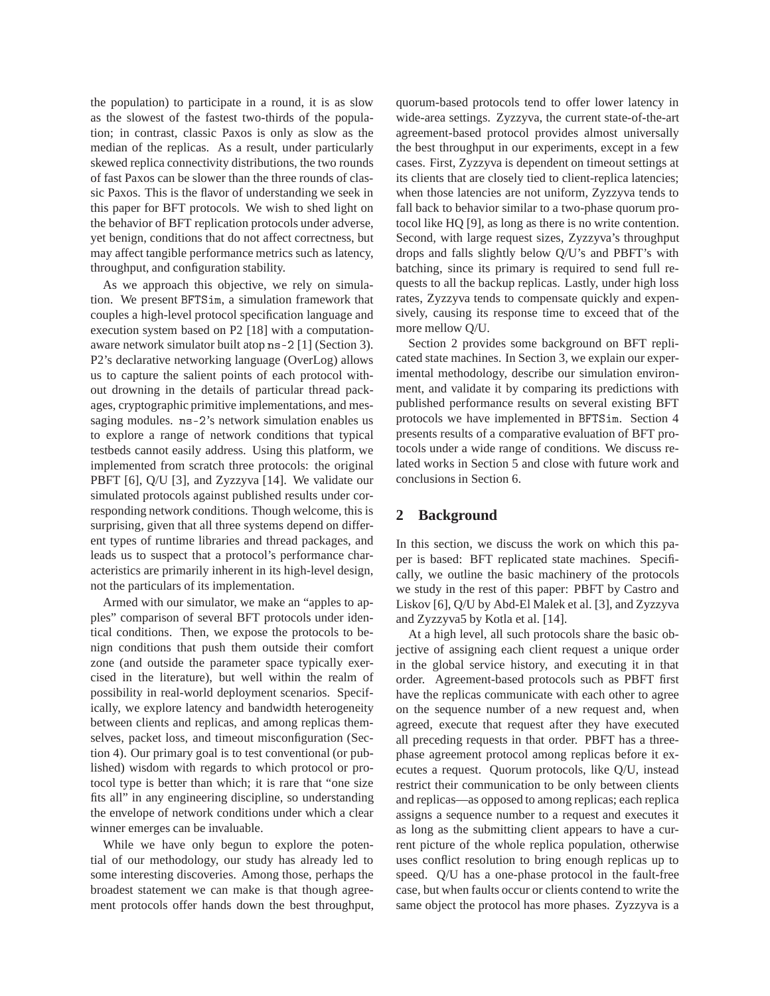the population) to participate in a round, it is as slow as the slowest of the fastest two-thirds of the population; in contrast, classic Paxos is only as slow as the median of the replicas. As a result, under particularly skewed replica connectivity distributions, the two rounds of fast Paxos can be slower than the three rounds of classic Paxos. This is the flavor of understanding we seek in this paper for BFT protocols. We wish to shed light on the behavior of BFT replication protocols under adverse, yet benign, conditions that do not affect correctness, but may affect tangible performance metrics such as latency, throughput, and configuration stability.

As we approach this objective, we rely on simulation. We present BFTSim, a simulation framework that couples a high-level protocol specification language and execution system based on P2 [18] with a computationaware network simulator built atop ns-2 [1] (Section 3). P2's declarative networking language (OverLog) allows us to capture the salient points of each protocol without drowning in the details of particular thread packages, cryptographic primitive implementations, and messaging modules. ns-2's network simulation enables us to explore a range of network conditions that typical testbeds cannot easily address. Using this platform, we implemented from scratch three protocols: the original PBFT [6], Q/U [3], and Zyzzyva [14]. We validate our simulated protocols against published results under corresponding network conditions. Though welcome, this is surprising, given that all three systems depend on different types of runtime libraries and thread packages, and leads us to suspect that a protocol's performance characteristics are primarily inherent in its high-level design, not the particulars of its implementation.

Armed with our simulator, we make an "apples to apples" comparison of several BFT protocols under identical conditions. Then, we expose the protocols to benign conditions that push them outside their comfort zone (and outside the parameter space typically exercised in the literature), but well within the realm of possibility in real-world deployment scenarios. Specifically, we explore latency and bandwidth heterogeneity between clients and replicas, and among replicas themselves, packet loss, and timeout misconfiguration (Section 4). Our primary goal is to test conventional (or published) wisdom with regards to which protocol or protocol type is better than which; it is rare that "one size fits all" in any engineering discipline, so understanding the envelope of network conditions under which a clear winner emerges can be invaluable.

While we have only begun to explore the potential of our methodology, our study has already led to some interesting discoveries. Among those, perhaps the broadest statement we can make is that though agreement protocols offer hands down the best throughput, quorum-based protocols tend to offer lower latency in wide-area settings. Zyzzyva, the current state-of-the-art agreement-based protocol provides almost universally the best throughput in our experiments, except in a few cases. First, Zyzzyva is dependent on timeout settings at its clients that are closely tied to client-replica latencies; when those latencies are not uniform, Zyzzyva tends to fall back to behavior similar to a two-phase quorum protocol like HQ [9], as long as there is no write contention. Second, with large request sizes, Zyzzyva's throughput drops and falls slightly below Q/U's and PBFT's with batching, since its primary is required to send full requests to all the backup replicas. Lastly, under high loss rates, Zyzzyva tends to compensate quickly and expensively, causing its response time to exceed that of the more mellow Q/U.

Section 2 provides some background on BFT replicated state machines. In Section 3, we explain our experimental methodology, describe our simulation environment, and validate it by comparing its predictions with published performance results on several existing BFT protocols we have implemented in BFTSim. Section 4 presents results of a comparative evaluation of BFT protocols under a wide range of conditions. We discuss related works in Section 5 and close with future work and conclusions in Section 6.

# **2 Background**

In this section, we discuss the work on which this paper is based: BFT replicated state machines. Specifically, we outline the basic machinery of the protocols we study in the rest of this paper: PBFT by Castro and Liskov [6], Q/U by Abd-El Malek et al. [3], and Zyzzyva and Zyzzyva5 by Kotla et al. [14].

At a high level, all such protocols share the basic objective of assigning each client request a unique order in the global service history, and executing it in that order. Agreement-based protocols such as PBFT first have the replicas communicate with each other to agree on the sequence number of a new request and, when agreed, execute that request after they have executed all preceding requests in that order. PBFT has a threephase agreement protocol among replicas before it executes a request. Quorum protocols, like Q/U, instead restrict their communication to be only between clients and replicas—as opposed to among replicas; each replica assigns a sequence number to a request and executes it as long as the submitting client appears to have a current picture of the whole replica population, otherwise uses conflict resolution to bring enough replicas up to speed. Q/U has a one-phase protocol in the fault-free case, but when faults occur or clients contend to write the same object the protocol has more phases. Zyzzyva is a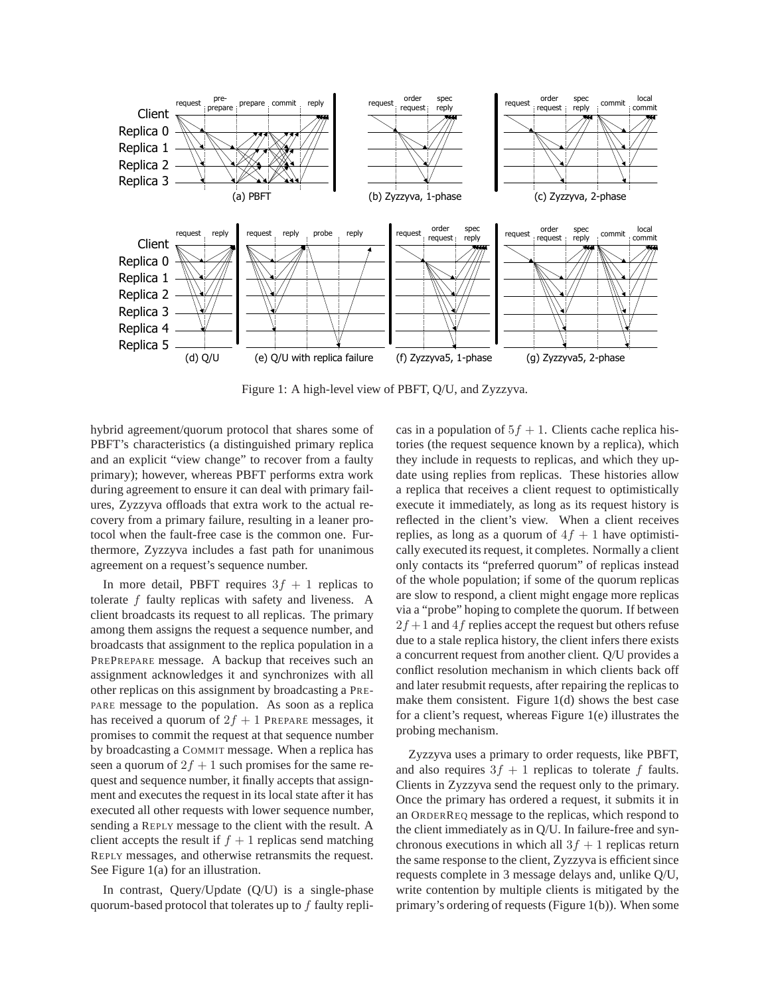

Figure 1: A high-level view of PBFT, Q/U, and Zyzzyva.

hybrid agreement/quorum protocol that shares some of PBFT's characteristics (a distinguished primary replica and an explicit "view change" to recover from a faulty primary); however, whereas PBFT performs extra work during agreement to ensure it can deal with primary failures, Zyzzyva offloads that extra work to the actual recovery from a primary failure, resulting in a leaner protocol when the fault-free case is the common one. Furthermore, Zyzzyva includes a fast path for unanimous agreement on a request's sequence number.

In more detail, PBFT requires  $3f + 1$  replicas to tolerate  $f$  faulty replicas with safety and liveness. A client broadcasts its request to all replicas. The primary among them assigns the request a sequence number, and broadcasts that assignment to the replica population in a PREPREPARE message. A backup that receives such an assignment acknowledges it and synchronizes with all other replicas on this assignment by broadcasting a PRE-PARE message to the population. As soon as a replica has received a quorum of  $2f + 1$  PREPARE messages, it promises to commit the request at that sequence number by broadcasting a COMMIT message. When a replica has seen a quorum of  $2f + 1$  such promises for the same request and sequence number, it finally accepts that assignment and executes the request in its local state after it has executed all other requests with lower sequence number, sending a REPLY message to the client with the result. A client accepts the result if  $f + 1$  replicas send matching REPLY messages, and otherwise retransmits the request. See Figure 1(a) for an illustration.

In contrast, Query/Update (Q/U) is a single-phase quorum-based protocol that tolerates up to  $f$  faulty replicas in a population of  $5f + 1$ . Clients cache replica histories (the request sequence known by a replica), which they include in requests to replicas, and which they update using replies from replicas. These histories allow a replica that receives a client request to optimistically execute it immediately, as long as its request history is reflected in the client's view. When a client receives replies, as long as a quorum of  $4f + 1$  have optimistically executed its request, it completes. Normally a client only contacts its "preferred quorum" of replicas instead of the whole population; if some of the quorum replicas are slow to respond, a client might engage more replicas via a "probe" hoping to complete the quorum. If between  $2f + 1$  and 4f replies accept the request but others refuse due to a stale replica history, the client infers there exists a concurrent request from another client. Q/U provides a conflict resolution mechanism in which clients back off and later resubmit requests, after repairing the replicas to make them consistent. Figure 1(d) shows the best case for a client's request, whereas Figure 1(e) illustrates the probing mechanism.

Zyzzyva uses a primary to order requests, like PBFT, and also requires  $3f + 1$  replicas to tolerate f faults. Clients in Zyzzyva send the request only to the primary. Once the primary has ordered a request, it submits it in an ORDERREQ message to the replicas, which respond to the client immediately as in Q/U. In failure-free and synchronous executions in which all  $3f + 1$  replicas return the same response to the client, Zyzzyva is efficient since requests complete in 3 message delays and, unlike Q/U, write contention by multiple clients is mitigated by the primary's ordering of requests (Figure 1(b)). When some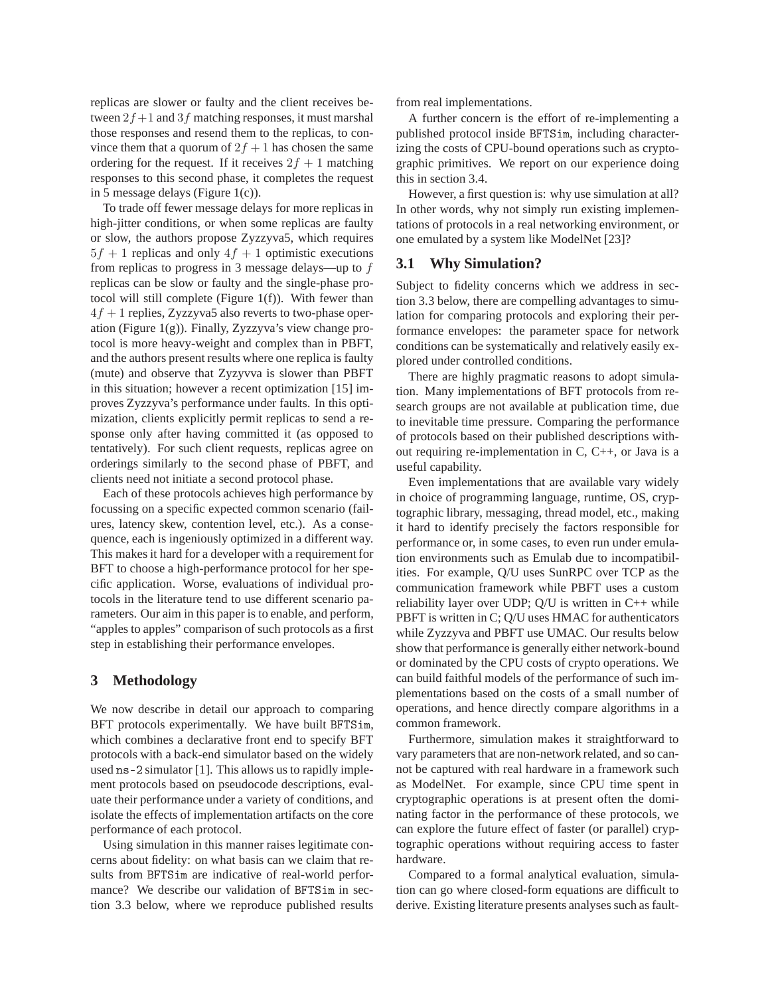replicas are slower or faulty and the client receives between  $2f+1$  and  $3f$  matching responses, it must marshal those responses and resend them to the replicas, to convince them that a quorum of  $2f + 1$  has chosen the same ordering for the request. If it receives  $2f + 1$  matching responses to this second phase, it completes the request in 5 message delays (Figure 1(c)).

To trade off fewer message delays for more replicas in high-jitter conditions, or when some replicas are faulty or slow, the authors propose Zyzzyva5, which requires  $5f + 1$  replicas and only  $4f + 1$  optimistic executions from replicas to progress in 3 message delays—up to f replicas can be slow or faulty and the single-phase protocol will still complete (Figure 1(f)). With fewer than  $4f + 1$  replies, Zyzzyva5 also reverts to two-phase operation (Figure  $1(g)$ ). Finally, Zyzzyva's view change protocol is more heavy-weight and complex than in PBFT, and the authors present results where one replica is faulty (mute) and observe that Zyzyvva is slower than PBFT in this situation; however a recent optimization [15] improves Zyzzyva's performance under faults. In this optimization, clients explicitly permit replicas to send a response only after having committed it (as opposed to tentatively). For such client requests, replicas agree on orderings similarly to the second phase of PBFT, and clients need not initiate a second protocol phase.

Each of these protocols achieves high performance by focussing on a specific expected common scenario (failures, latency skew, contention level, etc.). As a consequence, each is ingeniously optimized in a different way. This makes it hard for a developer with a requirement for BFT to choose a high-performance protocol for her specific application. Worse, evaluations of individual protocols in the literature tend to use different scenario parameters. Our aim in this paper is to enable, and perform, "apples to apples" comparison of such protocols as a first step in establishing their performance envelopes.

# **3 Methodology**

We now describe in detail our approach to comparing BFT protocols experimentally. We have built BFTSim, which combines a declarative front end to specify BFT protocols with a back-end simulator based on the widely used ns-2 simulator [1]. This allows us to rapidly implement protocols based on pseudocode descriptions, evaluate their performance under a variety of conditions, and isolate the effects of implementation artifacts on the core performance of each protocol.

Using simulation in this manner raises legitimate concerns about fidelity: on what basis can we claim that results from BFTSim are indicative of real-world performance? We describe our validation of BFTSim in section 3.3 below, where we reproduce published results from real implementations.

A further concern is the effort of re-implementing a published protocol inside BFTSim, including characterizing the costs of CPU-bound operations such as cryptographic primitives. We report on our experience doing this in section 3.4.

However, a first question is: why use simulation at all? In other words, why not simply run existing implementations of protocols in a real networking environment, or one emulated by a system like ModelNet [23]?

# **3.1 Why Simulation?**

Subject to fidelity concerns which we address in section 3.3 below, there are compelling advantages to simulation for comparing protocols and exploring their performance envelopes: the parameter space for network conditions can be systematically and relatively easily explored under controlled conditions.

There are highly pragmatic reasons to adopt simulation. Many implementations of BFT protocols from research groups are not available at publication time, due to inevitable time pressure. Comparing the performance of protocols based on their published descriptions without requiring re-implementation in C, C++, or Java is a useful capability.

Even implementations that are available vary widely in choice of programming language, runtime, OS, cryptographic library, messaging, thread model, etc., making it hard to identify precisely the factors responsible for performance or, in some cases, to even run under emulation environments such as Emulab due to incompatibilities. For example, Q/U uses SunRPC over TCP as the communication framework while PBFT uses a custom reliability layer over UDP;  $Q/U$  is written in  $C++$  while PBFT is written in C; Q/U uses HMAC for authenticators while Zyzzyva and PBFT use UMAC. Our results below show that performance is generally either network-bound or dominated by the CPU costs of crypto operations. We can build faithful models of the performance of such implementations based on the costs of a small number of operations, and hence directly compare algorithms in a common framework.

Furthermore, simulation makes it straightforward to vary parameters that are non-network related, and so cannot be captured with real hardware in a framework such as ModelNet. For example, since CPU time spent in cryptographic operations is at present often the dominating factor in the performance of these protocols, we can explore the future effect of faster (or parallel) cryptographic operations without requiring access to faster hardware.

Compared to a formal analytical evaluation, simulation can go where closed-form equations are difficult to derive. Existing literature presents analyses such as fault-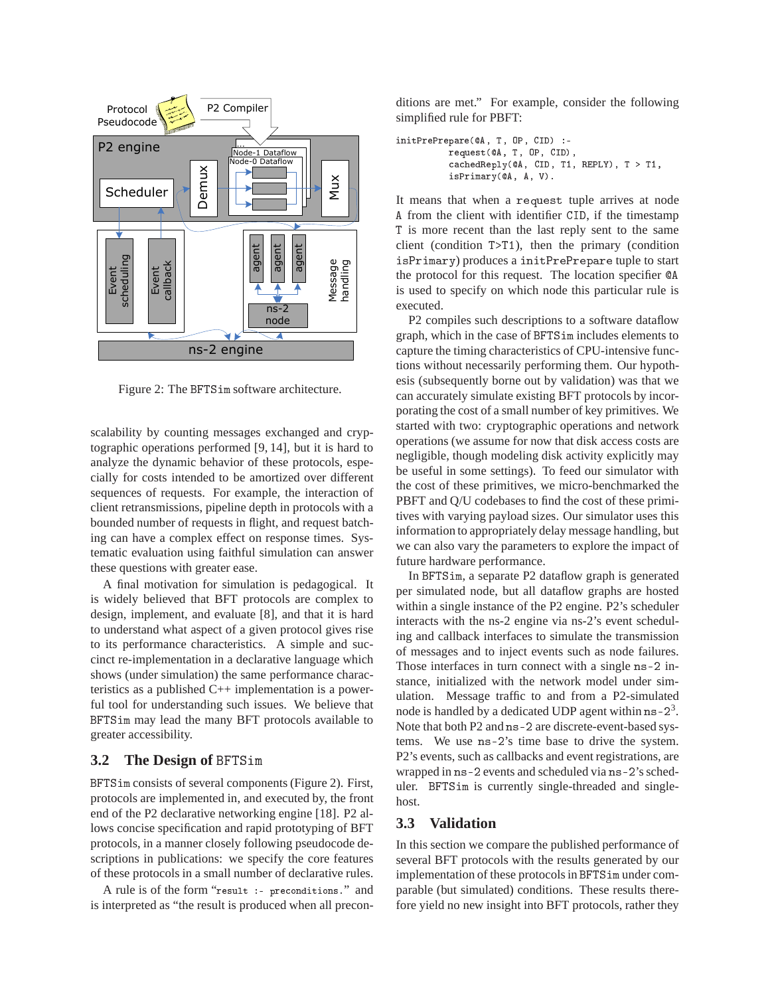

Figure 2: The BFTSim software architecture.

scalability by counting messages exchanged and cryptographic operations performed [9, 14], but it is hard to analyze the dynamic behavior of these protocols, especially for costs intended to be amortized over different sequences of requests. For example, the interaction of client retransmissions, pipeline depth in protocols with a bounded number of requests in flight, and request batching can have a complex effect on response times. Systematic evaluation using faithful simulation can answer these questions with greater ease.

A final motivation for simulation is pedagogical. It is widely believed that BFT protocols are complex to design, implement, and evaluate [8], and that it is hard to understand what aspect of a given protocol gives rise to its performance characteristics. A simple and succinct re-implementation in a declarative language which shows (under simulation) the same performance characteristics as a published C++ implementation is a powerful tool for understanding such issues. We believe that BFTSim may lead the many BFT protocols available to greater accessibility.

# **3.2 The Design of** BFTSim

BFTSim consists of several components (Figure 2). First, protocols are implemented in, and executed by, the front end of the P2 declarative networking engine [18]. P2 allows concise specification and rapid prototyping of BFT protocols, in a manner closely following pseudocode descriptions in publications: we specify the core features of these protocols in a small number of declarative rules.

A rule is of the form "result :- pre
onditions." and is interpreted as "the result is produced when all preconditions are met." For example, consider the following simplified rule for PBFT:

```
initPrePrepare(@A, T, OP, CID) :-
          request(@A, T, OP, CID),
          cachedReply(@A, CID, T1, REPLY), T > T1,
          isPrimary(QA, A, V).
```
It means that when a reques<sup>t</sup> tuple arrives at node <sup>A</sup> from the client with identifier CID, if the timestamp <sup>T</sup> is more recent than the last reply sent to the same client (condition T>T1), then the primary (condition isPrimary) produces a initPrePrepare tuple to start the protocol for this request. The location specifier  $QA$ is used to specify on which node this particular rule is executed.

P2 compiles such descriptions to a software dataflow graph, which in the case of BFTSim includes elements to capture the timing characteristics of CPU-intensive functions without necessarily performing them. Our hypothesis (subsequently borne out by validation) was that we can accurately simulate existing BFT protocols by incorporating the cost of a small number of key primitives. We started with two: cryptographic operations and network operations (we assume for now that disk access costs are negligible, though modeling disk activity explicitly may be useful in some settings). To feed our simulator with the cost of these primitives, we micro-benchmarked the PBFT and Q/U codebases to find the cost of these primitives with varying payload sizes. Our simulator uses this information to appropriately delay message handling, but we can also vary the parameters to explore the impact of future hardware performance.

In BFTSim, a separate P2 dataflow graph is generated per simulated node, but all dataflow graphs are hosted within a single instance of the P2 engine. P2's scheduler interacts with the ns-2 engine via ns-2's event scheduling and callback interfaces to simulate the transmission of messages and to inject events such as node failures. Those interfaces in turn connect with a single ns-2 instance, initialized with the network model under simulation. Message traffic to and from a P2-simulated node is handled by a dedicated UDP agent within  $ns-2^3$ . Note that both P2 and ns-2 are discrete-event-based systems. We use ns-2's time base to drive the system. P2's events, such as callbacks and event registrations, are wrapped in ns-2 events and scheduled via ns-2's scheduler. BFTSim is currently single-threaded and singlehost.

# **3.3 Validation**

In this section we compare the published performance of several BFT protocols with the results generated by our implementation of these protocols in BFTSim under comparable (but simulated) conditions. These results therefore yield no new insight into BFT protocols, rather they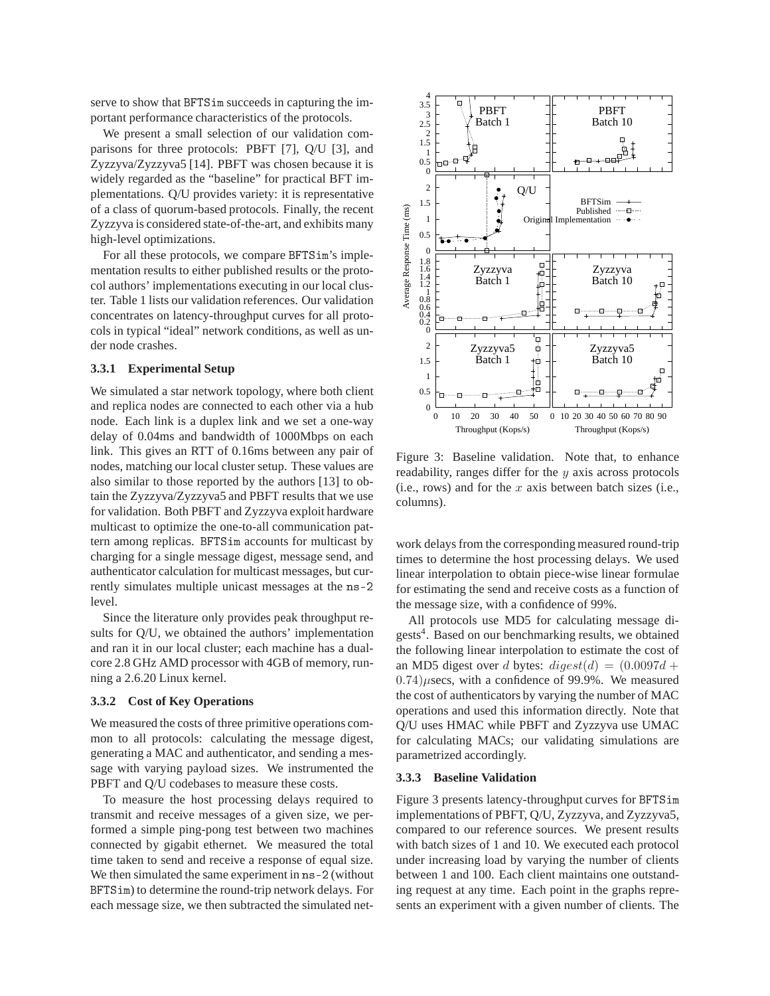serve to show that BFTSim succeeds in capturing the important performance characteristics of the protocols.

We present a small selection of our validation comparisons for three protocols: PBFT [7], Q/U [3], and Zyzzyva/Zyzzyva5 [14]. PBFT was chosen because it is widely regarded as the "baseline" for practical BFT implementations. Q/U provides variety: it is representative of a class of quorum-based protocols. Finally, the recent Zyzzyva is considered state-of-the-art, and exhibits many high-level optimizations.

For all these protocols, we compare BFTSim's implementation results to either published results or the protocol authors' implementations executing in our local cluster. Table 1 lists our validation references. Our validation concentrates on latency-throughput curves for all protocols in typical "ideal" network conditions, as well as under node crashes.

#### **3.3.1 Experimental Setup**

We simulated a star network topology, where both client and replica nodes are connected to each other via a hub node. Each link is a duplex link and we set a one-way delay of 0.04ms and bandwidth of 1000Mbps on each link. This gives an RTT of 0.16ms between any pair of nodes, matching our local cluster setup. These values are also similar to those reported by the authors [13] to obtain the Zyzzyva/Zyzzyva5 and PBFT results that we use for validation. Both PBFT and Zyzzyva exploit hardware multicast to optimize the one-to-all communication pattern among replicas. BFTSim accounts for multicast by charging for a single message digest, message send, and authenticator calculation for multicast messages, but currently simulates multiple unicast messages at the ns-2 level.

Since the literature only provides peak throughput results for Q/U, we obtained the authors' implementation and ran it in our local cluster; each machine has a dualcore 2.8 GHz AMD processor with 4GB of memory, running a 2.6.20 Linux kernel.

#### **3.3.2 Cost of Key Operations**

We measured the costs of three primitive operations common to all protocols: calculating the message digest, generating a MAC and authenticator, and sending a message with varying payload sizes. We instrumented the PBFT and Q/U codebases to measure these costs.

To measure the host processing delays required to transmit and receive messages of a given size, we performed a simple ping-pong test between two machines connected by gigabit ethernet. We measured the total time taken to send and receive a response of equal size. We then simulated the same experiment in ns-2 (without BFTSim) to determine the round-trip network delays. For each message size, we then subtracted the simulated net-



Figure 3: Baseline validation. Note that, to enhance readability, ranges differ for the  $y$  axis across protocols (i.e., rows) and for the  $x$  axis between batch sizes (i.e., columns).

work delays from the corresponding measured round-trip times to determine the host processing delays. We used linear interpolation to obtain piece-wise linear formulae for estimating the send and receive costs as a function of the message size, with a confidence of 99%.

All protocols use MD5 for calculating message digests<sup>4</sup>. Based on our benchmarking results, we obtained the following linear interpolation to estimate the cost of an MD5 digest over d bytes:  $\text{di} qest(d) = (0.0097d +$  $0.74)$ µsecs, with a confidence of 99.9%. We measured the cost of authenticators by varying the number of MAC operations and used this information directly. Note that Q/U uses HMAC while PBFT and Zyzzyva use UMAC for calculating MACs; our validating simulations are parametrized accordingly.

### **3.3.3 Baseline Validation**

Figure 3 presents latency-throughput curves for BFTSim implementations of PBFT, Q/U, Zyzzyva, and Zyzzyva5, compared to our reference sources. We present results with batch sizes of 1 and 10. We executed each protocol under increasing load by varying the number of clients between 1 and 100. Each client maintains one outstanding request at any time. Each point in the graphs represents an experiment with a given number of clients. The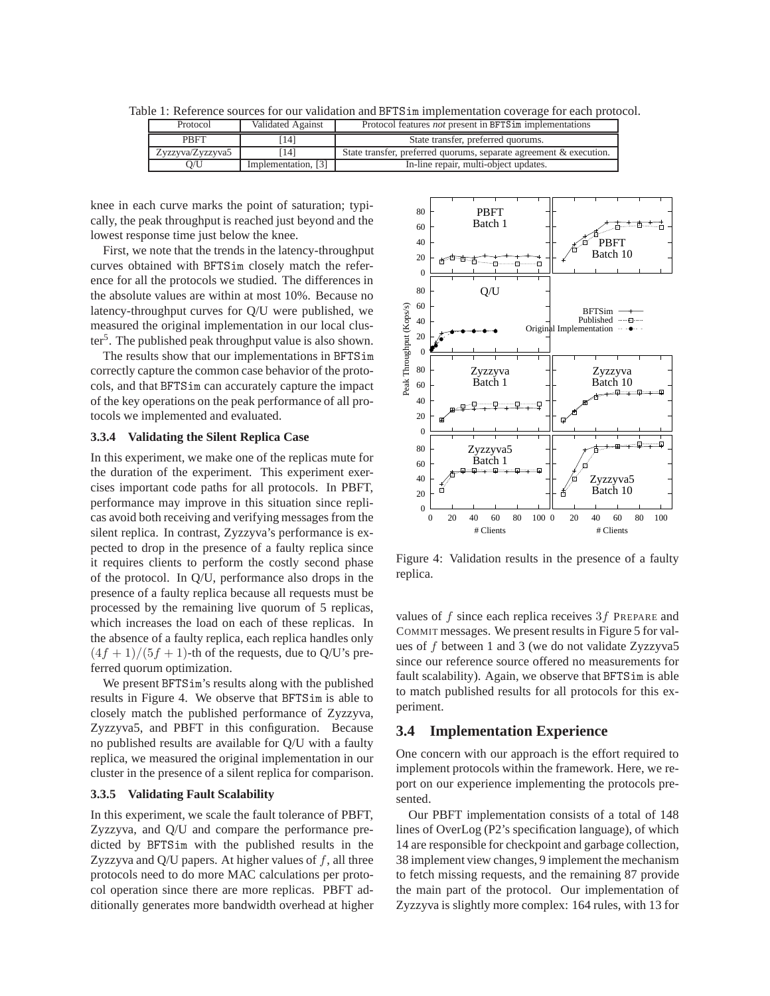| Table 1: Reference sources for our validation and BFTSim implementation coverage for each protocol. |  |  |
|-----------------------------------------------------------------------------------------------------|--|--|
|-----------------------------------------------------------------------------------------------------|--|--|

| Protocol         | Validated Against   | Protocol features <i>not</i> present in BFTS im implementations    |
|------------------|---------------------|--------------------------------------------------------------------|
| <b>PBFT</b>      | 141                 | State transfer, preferred quorums.                                 |
| Zyzzyva/Zyzzyva5 | 141                 | State transfer, preferred quorums, separate agreement & execution. |
| D/U              | Implementation, [3] | In-line repair, multi-object updates.                              |

knee in each curve marks the point of saturation; typically, the peak throughput is reached just beyond and the lowest response time just below the knee.

First, we note that the trends in the latency-throughput curves obtained with BFTSim closely match the reference for all the protocols we studied. The differences in the absolute values are within at most 10%. Because no latency-throughput curves for Q/U were published, we measured the original implementation in our local cluster<sup>5</sup>. The published peak throughput value is also shown.

The results show that our implementations in BFTSim correctly capture the common case behavior of the protocols, and that BFTSim can accurately capture the impact of the key operations on the peak performance of all protocols we implemented and evaluated.

#### **3.3.4 Validating the Silent Replica Case**

In this experiment, we make one of the replicas mute for the duration of the experiment. This experiment exercises important code paths for all protocols. In PBFT, performance may improve in this situation since replicas avoid both receiving and verifying messages from the silent replica. In contrast, Zyzzyva's performance is expected to drop in the presence of a faulty replica since it requires clients to perform the costly second phase of the protocol. In Q/U, performance also drops in the presence of a faulty replica because all requests must be processed by the remaining live quorum of 5 replicas, which increases the load on each of these replicas. In the absence of a faulty replica, each replica handles only  $(4f + 1)/(5f + 1)$ -th of the requests, due to Q/U's preferred quorum optimization.

We present BFTSim's results along with the published results in Figure 4. We observe that BFTSim is able to closely match the published performance of Zyzzyva, Zyzzyva5, and PBFT in this configuration. Because no published results are available for Q/U with a faulty replica, we measured the original implementation in our cluster in the presence of a silent replica for comparison.

### **3.3.5 Validating Fault Scalability**

In this experiment, we scale the fault tolerance of PBFT, Zyzzyva, and Q/U and compare the performance predicted by BFTSim with the published results in the Zyzzyva and  $Q/U$  papers. At higher values of  $f$ , all three protocols need to do more MAC calculations per protocol operation since there are more replicas. PBFT additionally generates more bandwidth overhead at higher



Figure 4: Validation results in the presence of a faulty replica.

values of  $f$  since each replica receives  $3f$  PREPARE and COMMIT messages. We present results in Figure 5 for values of f between 1 and 3 (we do not validate Zyzzyva5 since our reference source offered no measurements for fault scalability). Again, we observe that BFTSim is able to match published results for all protocols for this experiment.

# **3.4 Implementation Experience**

One concern with our approach is the effort required to implement protocols within the framework. Here, we report on our experience implementing the protocols presented.

Our PBFT implementation consists of a total of 148 lines of OverLog (P2's specification language), of which 14 are responsible for checkpoint and garbage collection, 38 implement view changes, 9 implement the mechanism to fetch missing requests, and the remaining 87 provide the main part of the protocol. Our implementation of Zyzzyva is slightly more complex: 164 rules, with 13 for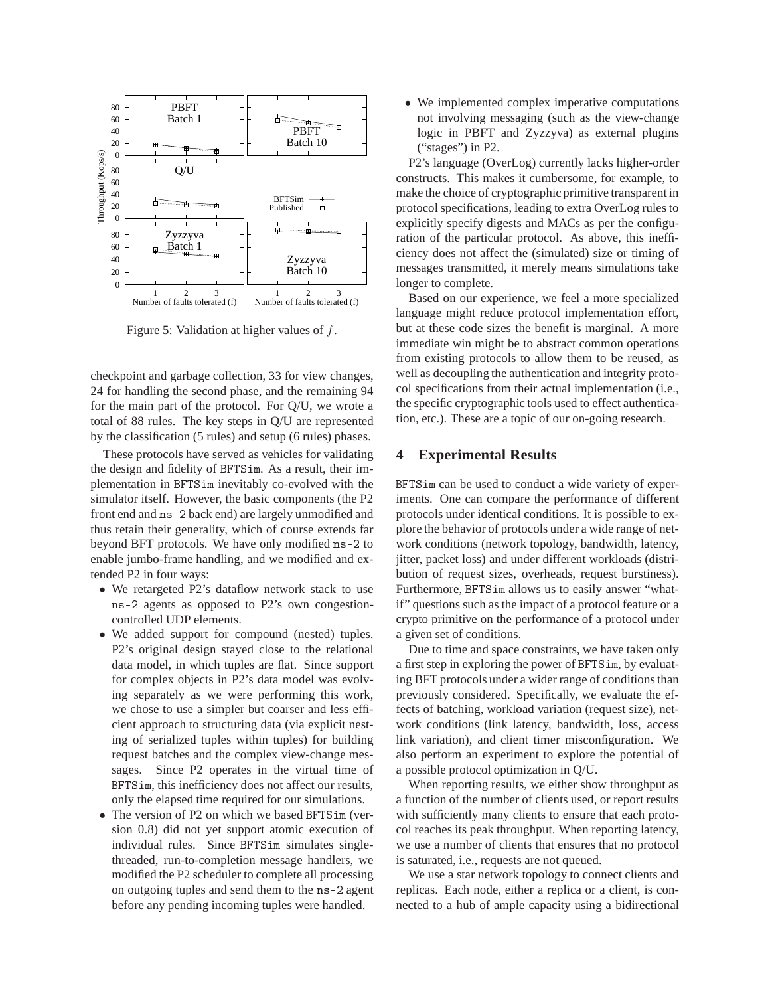

Figure 5: Validation at higher values of f.

checkpoint and garbage collection, 33 for view changes, 24 for handling the second phase, and the remaining 94 for the main part of the protocol. For Q/U, we wrote a total of 88 rules. The key steps in Q/U are represented by the classification (5 rules) and setup (6 rules) phases.

These protocols have served as vehicles for validating the design and fidelity of BFTSim. As a result, their implementation in BFTSim inevitably co-evolved with the simulator itself. However, the basic components (the P2 front end and ns-2 back end) are largely unmodified and thus retain their generality, which of course extends far beyond BFT protocols. We have only modified ns-2 to enable jumbo-frame handling, and we modified and extended P2 in four ways:

- We retargeted P2's dataflow network stack to use ns-2 agents as opposed to P2's own congestioncontrolled UDP elements.
- We added support for compound (nested) tuples. P2's original design stayed close to the relational data model, in which tuples are flat. Since support for complex objects in P2's data model was evolving separately as we were performing this work, we chose to use a simpler but coarser and less efficient approach to structuring data (via explicit nesting of serialized tuples within tuples) for building request batches and the complex view-change messages. Since P2 operates in the virtual time of BFTSim, this inefficiency does not affect our results, only the elapsed time required for our simulations.
- The version of P2 on which we based BFTSim (version 0.8) did not yet support atomic execution of individual rules. Since BFTSim simulates singlethreaded, run-to-completion message handlers, we modified the P2 scheduler to complete all processing on outgoing tuples and send them to the ns-2 agent before any pending incoming tuples were handled.

• We implemented complex imperative computations not involving messaging (such as the view-change logic in PBFT and Zyzzyva) as external plugins ("stages") in P2.

P2's language (OverLog) currently lacks higher-order constructs. This makes it cumbersome, for example, to make the choice of cryptographic primitive transparent in protocol specifications, leading to extra OverLog rules to explicitly specify digests and MACs as per the configuration of the particular protocol. As above, this inefficiency does not affect the (simulated) size or timing of messages transmitted, it merely means simulations take longer to complete.

Based on our experience, we feel a more specialized language might reduce protocol implementation effort, but at these code sizes the benefit is marginal. A more immediate win might be to abstract common operations from existing protocols to allow them to be reused, as well as decoupling the authentication and integrity protocol specifications from their actual implementation (i.e., the specific cryptographic tools used to effect authentication, etc.). These are a topic of our on-going research.

# **4 Experimental Results**

BFTSim can be used to conduct a wide variety of experiments. One can compare the performance of different protocols under identical conditions. It is possible to explore the behavior of protocols under a wide range of network conditions (network topology, bandwidth, latency, jitter, packet loss) and under different workloads (distribution of request sizes, overheads, request burstiness). Furthermore, BFTSim allows us to easily answer "whatif" questions such as the impact of a protocol feature or a crypto primitive on the performance of a protocol under a given set of conditions.

Due to time and space constraints, we have taken only a first step in exploring the power of BFTSim, by evaluating BFT protocols under a wider range of conditions than previously considered. Specifically, we evaluate the effects of batching, workload variation (request size), network conditions (link latency, bandwidth, loss, access link variation), and client timer misconfiguration. We also perform an experiment to explore the potential of a possible protocol optimization in Q/U.

When reporting results, we either show throughput as a function of the number of clients used, or report results with sufficiently many clients to ensure that each protocol reaches its peak throughput. When reporting latency, we use a number of clients that ensures that no protocol is saturated, i.e., requests are not queued.

We use a star network topology to connect clients and replicas. Each node, either a replica or a client, is connected to a hub of ample capacity using a bidirectional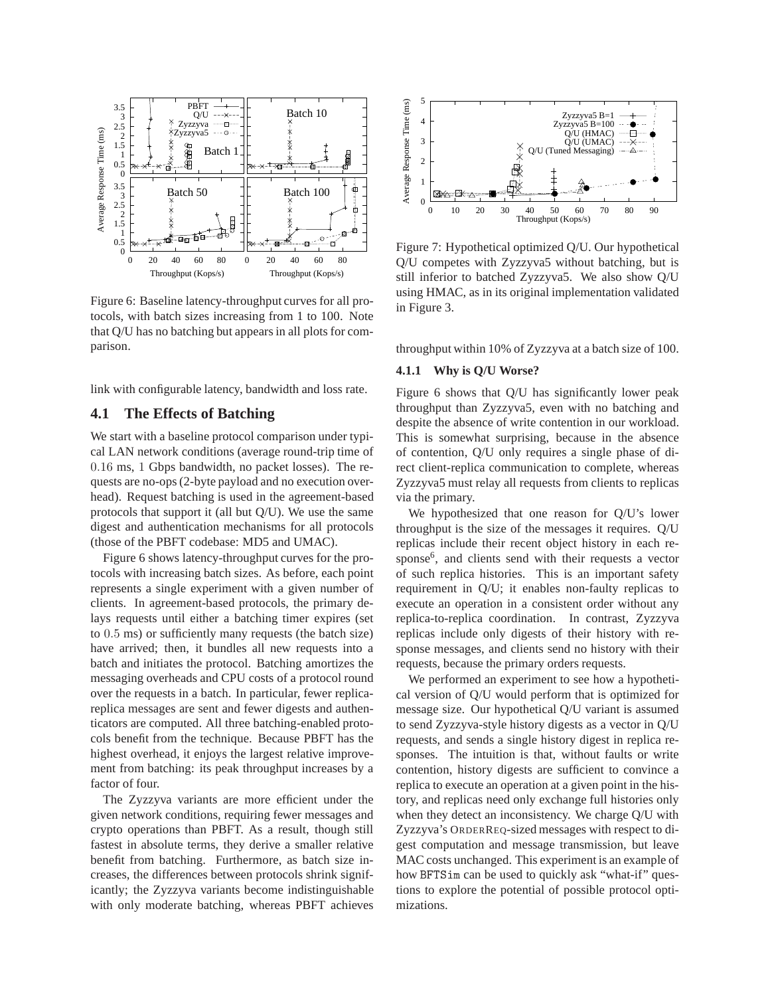

Figure 6: Baseline latency-throughput curves for all protocols, with batch sizes increasing from 1 to 100. Note that Q/U has no batching but appears in all plots for comparison.

link with configurable latency, bandwidth and loss rate.

# **4.1 The Effects of Batching**

We start with a baseline protocol comparison under typical LAN network conditions (average round-trip time of 0.16 ms, 1 Gbps bandwidth, no packet losses). The requests are no-ops (2-byte payload and no execution overhead). Request batching is used in the agreement-based protocols that support it (all but Q/U). We use the same digest and authentication mechanisms for all protocols (those of the PBFT codebase: MD5 and UMAC).

Figure 6 shows latency-throughput curves for the protocols with increasing batch sizes. As before, each point represents a single experiment with a given number of clients. In agreement-based protocols, the primary delays requests until either a batching timer expires (set to 0.5 ms) or sufficiently many requests (the batch size) have arrived; then, it bundles all new requests into a batch and initiates the protocol. Batching amortizes the messaging overheads and CPU costs of a protocol round over the requests in a batch. In particular, fewer replicareplica messages are sent and fewer digests and authenticators are computed. All three batching-enabled protocols benefit from the technique. Because PBFT has the highest overhead, it enjoys the largest relative improvement from batching: its peak throughput increases by a factor of four.

The Zyzzyva variants are more efficient under the given network conditions, requiring fewer messages and crypto operations than PBFT. As a result, though still fastest in absolute terms, they derive a smaller relative benefit from batching. Furthermore, as batch size increases, the differences between protocols shrink significantly; the Zyzzyva variants become indistinguishable with only moderate batching, whereas PBFT achieves



Figure 7: Hypothetical optimized Q/U. Our hypothetical Q/U competes with Zyzzyva5 without batching, but is still inferior to batched Zyzzyva5. We also show Q/U using HMAC, as in its original implementation validated in Figure 3.

throughput within 10% of Zyzzyva at a batch size of 100.

### **4.1.1 Why is Q/U Worse?**

Figure 6 shows that Q/U has significantly lower peak throughput than Zyzzyva5, even with no batching and despite the absence of write contention in our workload. This is somewhat surprising, because in the absence of contention, Q/U only requires a single phase of direct client-replica communication to complete, whereas Zyzzyva5 must relay all requests from clients to replicas via the primary.

We hypothesized that one reason for Q/U's lower throughput is the size of the messages it requires. Q/U replicas include their recent object history in each response<sup>6</sup>, and clients send with their requests a vector of such replica histories. This is an important safety requirement in Q/U; it enables non-faulty replicas to execute an operation in a consistent order without any replica-to-replica coordination. In contrast, Zyzzyva replicas include only digests of their history with response messages, and clients send no history with their requests, because the primary orders requests.

We performed an experiment to see how a hypothetical version of Q/U would perform that is optimized for message size. Our hypothetical Q/U variant is assumed to send Zyzzyva-style history digests as a vector in Q/U requests, and sends a single history digest in replica responses. The intuition is that, without faults or write contention, history digests are sufficient to convince a replica to execute an operation at a given point in the history, and replicas need only exchange full histories only when they detect an inconsistency. We charge Q/U with Zyzzyva's ORDERREQ-sized messages with respect to digest computation and message transmission, but leave MAC costs unchanged. This experiment is an example of how BFTSim can be used to quickly ask "what-if" questions to explore the potential of possible protocol optimizations.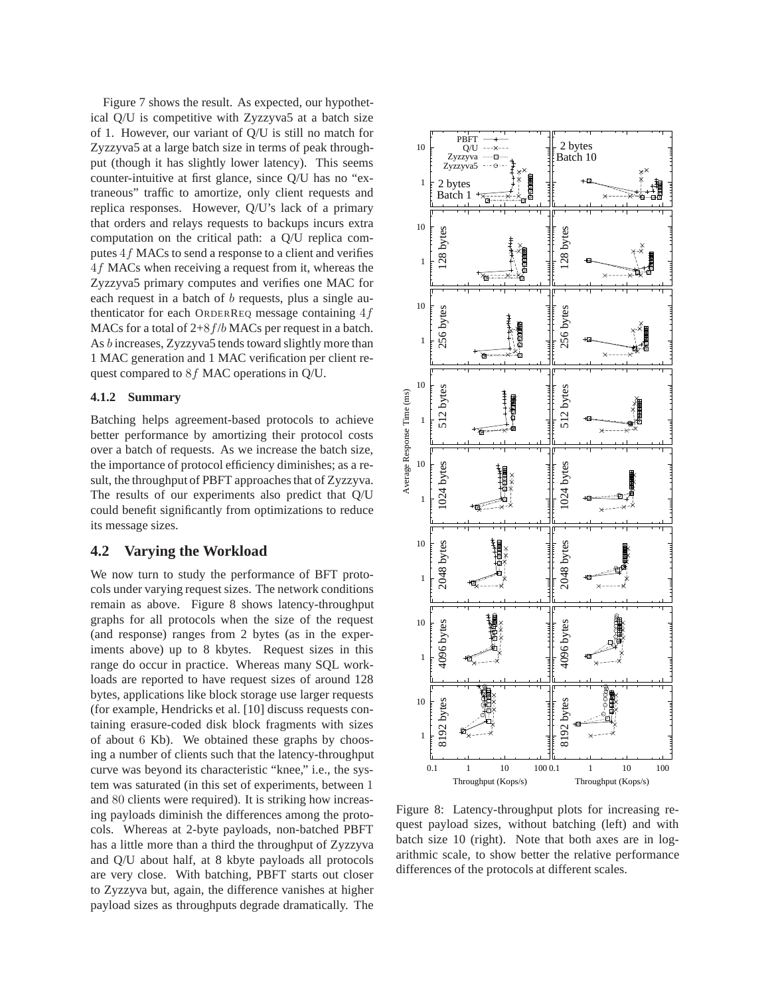Figure 7 shows the result. As expected, our hypothetical Q/U is competitive with Zyzzyva5 at a batch size of 1. However, our variant of Q/U is still no match for Zyzzyva5 at a large batch size in terms of peak throughput (though it has slightly lower latency). This seems counter-intuitive at first glance, since Q/U has no "extraneous" traffic to amortize, only client requests and replica responses. However, Q/U's lack of a primary that orders and relays requests to backups incurs extra computation on the critical path: a Q/U replica computes 4f MACs to send a response to a client and verifies 4f MACs when receiving a request from it, whereas the Zyzzyva5 primary computes and verifies one MAC for each request in a batch of b requests, plus a single authenticator for each ORDERREQ message containing  $4f$ MACs for a total of  $2+8f/b$  MACs per request in a batch. As b increases, Zyzzyva5 tends toward slightly more than 1 MAC generation and 1 MAC verification per client request compared to 8f MAC operations in Q/U.

#### **4.1.2 Summary**

Batching helps agreement-based protocols to achieve better performance by amortizing their protocol costs over a batch of requests. As we increase the batch size, the importance of protocol efficiency diminishes; as a result, the throughput of PBFT approaches that of Zyzzyva. The results of our experiments also predict that Q/U could benefit significantly from optimizations to reduce its message sizes.

## **4.2 Varying the Workload**

We now turn to study the performance of BFT protocols under varying request sizes. The network conditions remain as above. Figure 8 shows latency-throughput graphs for all protocols when the size of the request (and response) ranges from 2 bytes (as in the experiments above) up to 8 kbytes. Request sizes in this range do occur in practice. Whereas many SQL workloads are reported to have request sizes of around 128 bytes, applications like block storage use larger requests (for example, Hendricks et al. [10] discuss requests containing erasure-coded disk block fragments with sizes of about 6 Kb). We obtained these graphs by choosing a number of clients such that the latency-throughput curve was beyond its characteristic "knee," i.e., the system was saturated (in this set of experiments, between 1 and 80 clients were required). It is striking how increasing payloads diminish the differences among the protocols. Whereas at 2-byte payloads, non-batched PBFT has a little more than a third the throughput of Zyzzyva and Q/U about half, at 8 kbyte payloads all protocols are very close. With batching, PBFT starts out closer to Zyzzyva but, again, the difference vanishes at higher payload sizes as throughputs degrade dramatically. The



Figure 8: Latency-throughput plots for increasing request payload sizes, without batching (left) and with batch size 10 (right). Note that both axes are in logarithmic scale, to show better the relative performance differences of the protocols at different scales.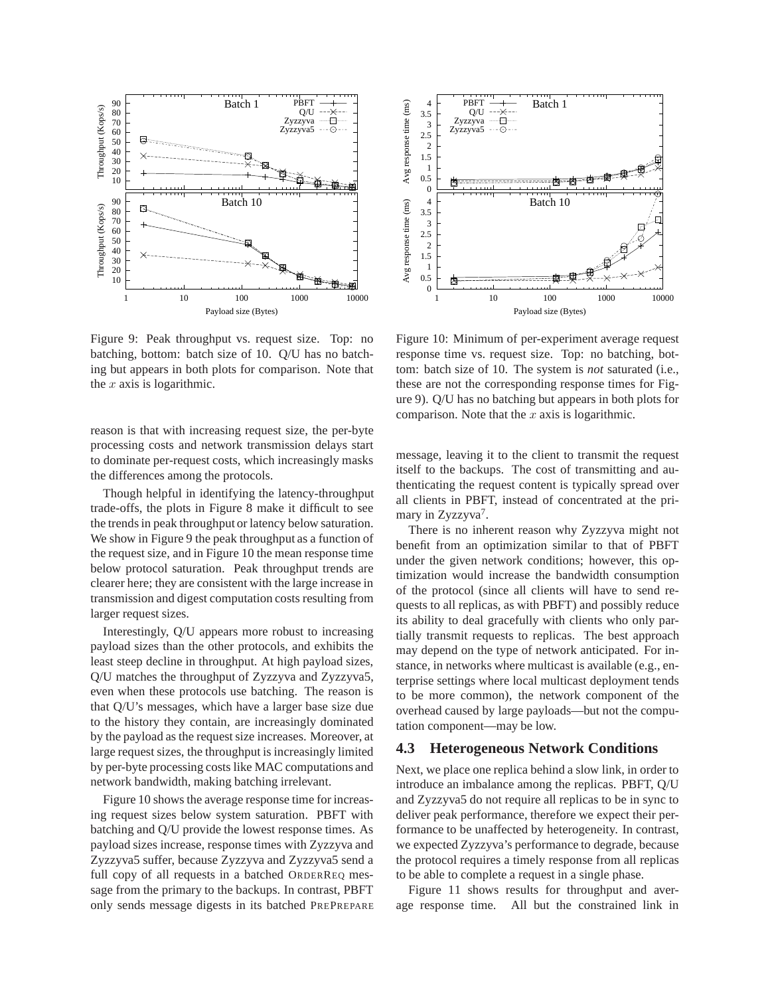

Figure 9: Peak throughput vs. request size. Top: no batching, bottom: batch size of 10. Q/U has no batching but appears in both plots for comparison. Note that the  $x$  axis is logarithmic.

reason is that with increasing request size, the per-byte processing costs and network transmission delays start to dominate per-request costs, which increasingly masks the differences among the protocols.

Though helpful in identifying the latency-throughput trade-offs, the plots in Figure 8 make it difficult to see the trends in peak throughput or latency below saturation. We show in Figure 9 the peak throughput as a function of the request size, and in Figure 10 the mean response time below protocol saturation. Peak throughput trends are clearer here; they are consistent with the large increase in transmission and digest computation costs resulting from larger request sizes.

Interestingly, Q/U appears more robust to increasing payload sizes than the other protocols, and exhibits the least steep decline in throughput. At high payload sizes, Q/U matches the throughput of Zyzzyva and Zyzzyva5, even when these protocols use batching. The reason is that Q/U's messages, which have a larger base size due to the history they contain, are increasingly dominated by the payload as the request size increases. Moreover, at large request sizes, the throughput is increasingly limited by per-byte processing costs like MAC computations and network bandwidth, making batching irrelevant.

Figure 10 shows the average response time for increasing request sizes below system saturation. PBFT with batching and Q/U provide the lowest response times. As payload sizes increase, response times with Zyzzyva and Zyzzyva5 suffer, because Zyzzyva and Zyzzyva5 send a full copy of all requests in a batched ORDERREQ message from the primary to the backups. In contrast, PBFT only sends message digests in its batched PREPREPARE



Figure 10: Minimum of per-experiment average request response time vs. request size. Top: no batching, bottom: batch size of 10. The system is *not* saturated (i.e., these are not the corresponding response times for Figure 9). Q/U has no batching but appears in both plots for comparison. Note that the  $x$  axis is logarithmic.

message, leaving it to the client to transmit the request itself to the backups. The cost of transmitting and authenticating the request content is typically spread over all clients in PBFT, instead of concentrated at the primary in Zyzzyva<sup>7</sup>.

There is no inherent reason why Zyzzyva might not benefit from an optimization similar to that of PBFT under the given network conditions; however, this optimization would increase the bandwidth consumption of the protocol (since all clients will have to send requests to all replicas, as with PBFT) and possibly reduce its ability to deal gracefully with clients who only partially transmit requests to replicas. The best approach may depend on the type of network anticipated. For instance, in networks where multicast is available (e.g., enterprise settings where local multicast deployment tends to be more common), the network component of the overhead caused by large payloads—but not the computation component—may be low.

### **4.3 Heterogeneous Network Conditions**

Next, we place one replica behind a slow link, in order to introduce an imbalance among the replicas. PBFT, Q/U and Zyzzyva5 do not require all replicas to be in sync to deliver peak performance, therefore we expect their performance to be unaffected by heterogeneity. In contrast, we expected Zyzzyva's performance to degrade, because the protocol requires a timely response from all replicas to be able to complete a request in a single phase.

Figure 11 shows results for throughput and average response time. All but the constrained link in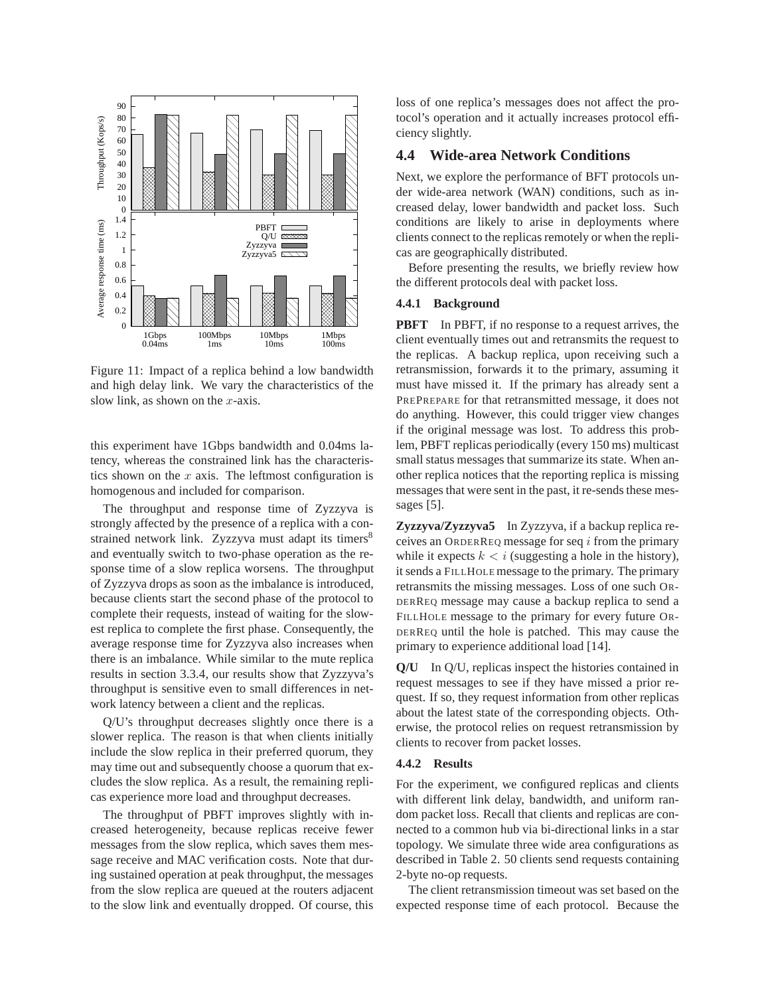

Figure 11: Impact of a replica behind a low bandwidth and high delay link. We vary the characteristics of the slow link, as shown on the  $x$ -axis.

this experiment have 1Gbps bandwidth and 0.04ms latency, whereas the constrained link has the characteristics shown on the  $x$  axis. The leftmost configuration is homogenous and included for comparison.

The throughput and response time of Zyzzyva is strongly affected by the presence of a replica with a constrained network link. Zyzzyva must adapt its timers<sup>8</sup> and eventually switch to two-phase operation as the response time of a slow replica worsens. The throughput of Zyzzyva drops as soon as the imbalance is introduced, because clients start the second phase of the protocol to complete their requests, instead of waiting for the slowest replica to complete the first phase. Consequently, the average response time for Zyzzyva also increases when there is an imbalance. While similar to the mute replica results in section 3.3.4, our results show that Zyzzyva's throughput is sensitive even to small differences in network latency between a client and the replicas.

Q/U's throughput decreases slightly once there is a slower replica. The reason is that when clients initially include the slow replica in their preferred quorum, they may time out and subsequently choose a quorum that excludes the slow replica. As a result, the remaining replicas experience more load and throughput decreases.

The throughput of PBFT improves slightly with increased heterogeneity, because replicas receive fewer messages from the slow replica, which saves them message receive and MAC verification costs. Note that during sustained operation at peak throughput, the messages from the slow replica are queued at the routers adjacent to the slow link and eventually dropped. Of course, this loss of one replica's messages does not affect the protocol's operation and it actually increases protocol efficiency slightly.

# **4.4 Wide-area Network Conditions**

Next, we explore the performance of BFT protocols under wide-area network (WAN) conditions, such as increased delay, lower bandwidth and packet loss. Such conditions are likely to arise in deployments where clients connect to the replicas remotely or when the replicas are geographically distributed.

Before presenting the results, we briefly review how the different protocols deal with packet loss.

## **4.4.1 Background**

**PBFT** In PBFT, if no response to a request arrives, the client eventually times out and retransmits the request to the replicas. A backup replica, upon receiving such a retransmission, forwards it to the primary, assuming it must have missed it. If the primary has already sent a PREPREPARE for that retransmitted message, it does not do anything. However, this could trigger view changes if the original message was lost. To address this problem, PBFT replicas periodically (every 150 ms) multicast small status messages that summarize its state. When another replica notices that the reporting replica is missing messages that were sent in the past, it re-sends these messages [5].

**Zyzzyva/Zyzzyva5** In Zyzzyva, if a backup replica receives an ORDERREQ message for seq i from the primary while it expects  $k < i$  (suggesting a hole in the history), it sends a FILLHOLE message to the primary. The primary retransmits the missing messages. Loss of one such OR-DERREQ message may cause a backup replica to send a FILLHOLE message to the primary for every future OR-DERREQ until the hole is patched. This may cause the primary to experience additional load [14].

**Q/U** In Q/U, replicas inspect the histories contained in request messages to see if they have missed a prior request. If so, they request information from other replicas about the latest state of the corresponding objects. Otherwise, the protocol relies on request retransmission by clients to recover from packet losses.

### **4.4.2 Results**

For the experiment, we configured replicas and clients with different link delay, bandwidth, and uniform random packet loss. Recall that clients and replicas are connected to a common hub via bi-directional links in a star topology. We simulate three wide area configurations as described in Table 2. 50 clients send requests containing 2-byte no-op requests.

The client retransmission timeout was set based on the expected response time of each protocol. Because the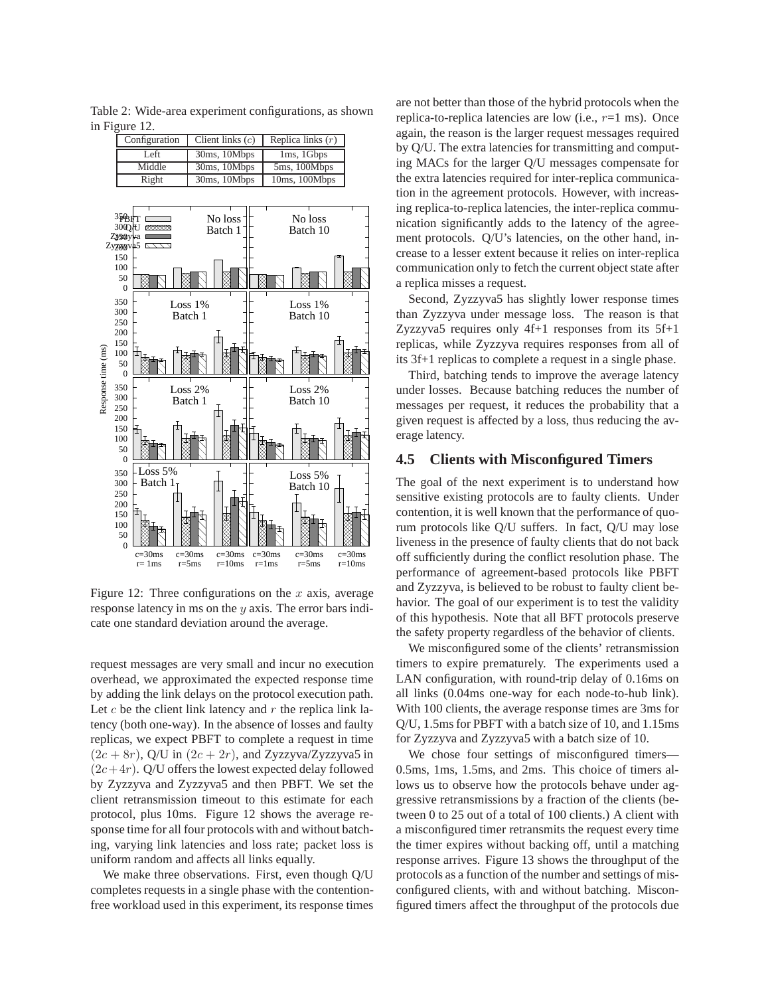Table 2: Wide-area experiment configurations, as shown in Figure 12.



Figure 12: Three configurations on the  $x$  axis, average response latency in ms on the y axis. The error bars indicate one standard deviation around the average.

request messages are very small and incur no execution overhead, we approximated the expected response time by adding the link delays on the protocol execution path. Let  $c$  be the client link latency and  $r$  the replica link latency (both one-way). In the absence of losses and faulty replicas, we expect PBFT to complete a request in time  $(2c + 8r)$ , Q/U in  $(2c + 2r)$ , and Zyzzyva/Zyzzyva5 in  $(2c+4r)$ . Q/U offers the lowest expected delay followed by Zyzzyva and Zyzzyva5 and then PBFT. We set the client retransmission timeout to this estimate for each protocol, plus 10ms. Figure 12 shows the average response time for all four protocols with and without batching, varying link latencies and loss rate; packet loss is uniform random and affects all links equally.

We make three observations. First, even though Q/U completes requests in a single phase with the contentionfree workload used in this experiment, its response times are not better than those of the hybrid protocols when the replica-to-replica latencies are low (i.e.,  $r=1$  ms). Once again, the reason is the larger request messages required by Q/U. The extra latencies for transmitting and computing MACs for the larger Q/U messages compensate for the extra latencies required for inter-replica communication in the agreement protocols. However, with increasing replica-to-replica latencies, the inter-replica communication significantly adds to the latency of the agreement protocols. Q/U's latencies, on the other hand, increase to a lesser extent because it relies on inter-replica communication only to fetch the current object state after a replica misses a request.

Second, Zyzzyva5 has slightly lower response times than Zyzzyva under message loss. The reason is that Zyzzyva5 requires only  $4f+1$  responses from its  $5f+1$ replicas, while Zyzzyva requires responses from all of its 3f+1 replicas to complete a request in a single phase.

Third, batching tends to improve the average latency under losses. Because batching reduces the number of messages per request, it reduces the probability that a given request is affected by a loss, thus reducing the average latency.

# **4.5 Clients with Misconfigured Timers**

The goal of the next experiment is to understand how sensitive existing protocols are to faulty clients. Under contention, it is well known that the performance of quorum protocols like Q/U suffers. In fact, Q/U may lose liveness in the presence of faulty clients that do not back off sufficiently during the conflict resolution phase. The performance of agreement-based protocols like PBFT and Zyzzyva, is believed to be robust to faulty client behavior. The goal of our experiment is to test the validity of this hypothesis. Note that all BFT protocols preserve the safety property regardless of the behavior of clients.

We misconfigured some of the clients' retransmission timers to expire prematurely. The experiments used a LAN configuration, with round-trip delay of 0.16ms on all links (0.04ms one-way for each node-to-hub link). With 100 clients, the average response times are 3ms for Q/U, 1.5ms for PBFT with a batch size of 10, and 1.15ms for Zyzzyva and Zyzzyva5 with a batch size of 10.

We chose four settings of misconfigured timers— 0.5ms, 1ms, 1.5ms, and 2ms. This choice of timers allows us to observe how the protocols behave under aggressive retransmissions by a fraction of the clients (between 0 to 25 out of a total of 100 clients.) A client with a misconfigured timer retransmits the request every time the timer expires without backing off, until a matching response arrives. Figure 13 shows the throughput of the protocols as a function of the number and settings of misconfigured clients, with and without batching. Misconfigured timers affect the throughput of the protocols due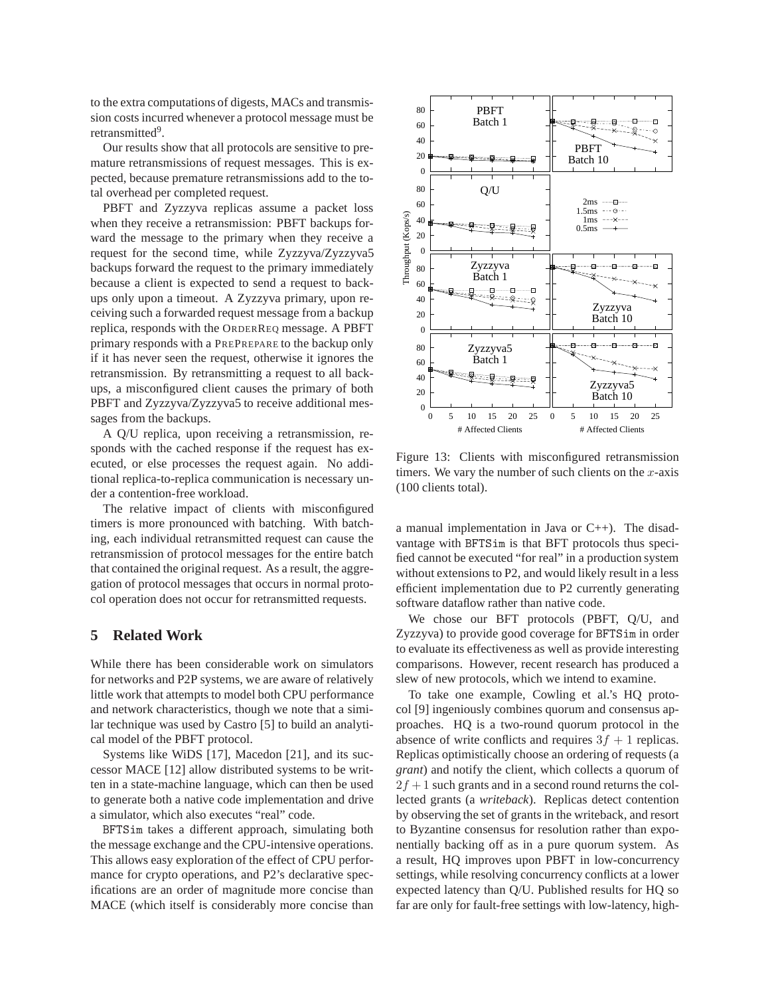to the extra computations of digests, MACs and transmission costs incurred whenever a protocol message must be retransmitted<sup>9</sup>.

Our results show that all protocols are sensitive to premature retransmissions of request messages. This is expected, because premature retransmissions add to the total overhead per completed request.

PBFT and Zyzzyva replicas assume a packet loss when they receive a retransmission: PBFT backups forward the message to the primary when they receive a request for the second time, while Zyzzyva/Zyzzyva5 backups forward the request to the primary immediately because a client is expected to send a request to backups only upon a timeout. A Zyzzyva primary, upon receiving such a forwarded request message from a backup replica, responds with the ORDERREQ message. A PBFT primary responds with a PREPREPARE to the backup only if it has never seen the request, otherwise it ignores the retransmission. By retransmitting a request to all backups, a misconfigured client causes the primary of both PBFT and Zyzzyva/Zyzzyva5 to receive additional messages from the backups.

A Q/U replica, upon receiving a retransmission, responds with the cached response if the request has executed, or else processes the request again. No additional replica-to-replica communication is necessary under a contention-free workload.

The relative impact of clients with misconfigured timers is more pronounced with batching. With batching, each individual retransmitted request can cause the retransmission of protocol messages for the entire batch that contained the original request. As a result, the aggregation of protocol messages that occurs in normal protocol operation does not occur for retransmitted requests.

# **5 Related Work**

While there has been considerable work on simulators for networks and P2P systems, we are aware of relatively little work that attempts to model both CPU performance and network characteristics, though we note that a similar technique was used by Castro [5] to build an analytical model of the PBFT protocol.

Systems like WiDS [17], Macedon [21], and its successor MACE [12] allow distributed systems to be written in a state-machine language, which can then be used to generate both a native code implementation and drive a simulator, which also executes "real" code.

BFTSim takes a different approach, simulating both the message exchange and the CPU-intensive operations. This allows easy exploration of the effect of CPU performance for crypto operations, and P2's declarative specifications are an order of magnitude more concise than MACE (which itself is considerably more concise than



Figure 13: Clients with misconfigured retransmission timers. We vary the number of such clients on the  $x$ -axis (100 clients total).

a manual implementation in Java or C++). The disadvantage with BFTSim is that BFT protocols thus specified cannot be executed "for real" in a production system without extensions to P2, and would likely result in a less efficient implementation due to P2 currently generating software dataflow rather than native code.

We chose our BFT protocols (PBFT, Q/U, and Zyzzyva) to provide good coverage for BFTSim in order to evaluate its effectiveness as well as provide interesting comparisons. However, recent research has produced a slew of new protocols, which we intend to examine.

To take one example, Cowling et al.'s HQ protocol [9] ingeniously combines quorum and consensus approaches. HQ is a two-round quorum protocol in the absence of write conflicts and requires  $3f + 1$  replicas. Replicas optimistically choose an ordering of requests (a *grant*) and notify the client, which collects a quorum of  $2f + 1$  such grants and in a second round returns the collected grants (a *writeback*). Replicas detect contention by observing the set of grants in the writeback, and resort to Byzantine consensus for resolution rather than exponentially backing off as in a pure quorum system. As a result, HQ improves upon PBFT in low-concurrency settings, while resolving concurrency conflicts at a lower expected latency than Q/U. Published results for HQ so far are only for fault-free settings with low-latency, high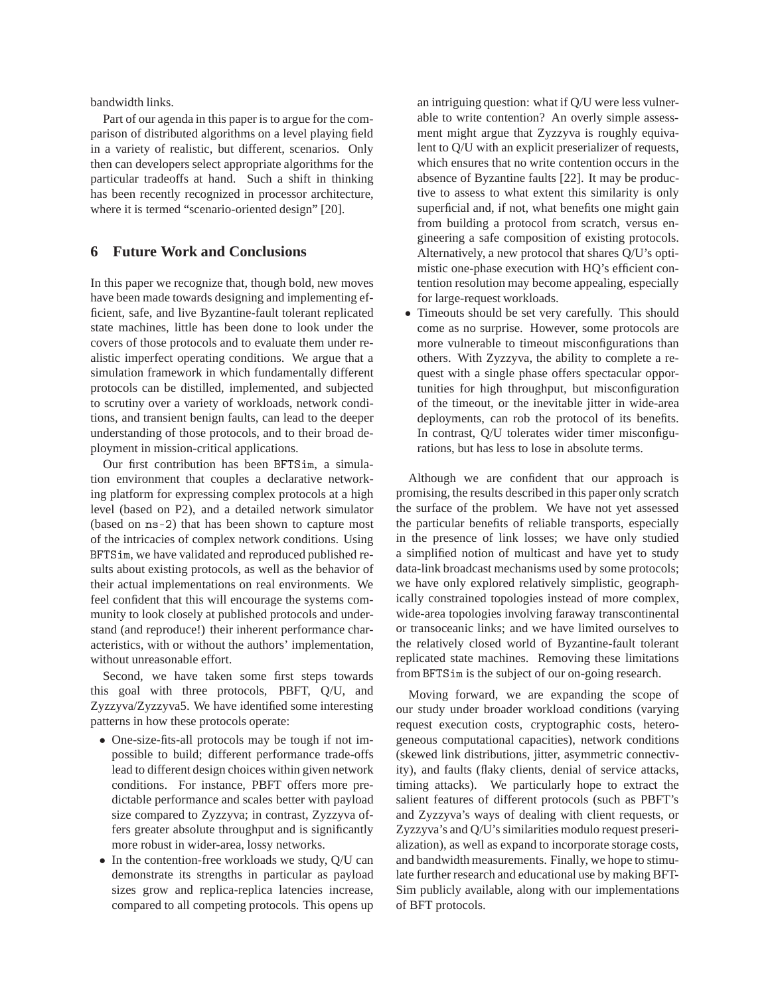bandwidth links.

Part of our agenda in this paper is to argue for the comparison of distributed algorithms on a level playing field in a variety of realistic, but different, scenarios. Only then can developers select appropriate algorithms for the particular tradeoffs at hand. Such a shift in thinking has been recently recognized in processor architecture, where it is termed "scenario-oriented design" [20].

## **6 Future Work and Conclusions**

In this paper we recognize that, though bold, new moves have been made towards designing and implementing efficient, safe, and live Byzantine-fault tolerant replicated state machines, little has been done to look under the covers of those protocols and to evaluate them under realistic imperfect operating conditions. We argue that a simulation framework in which fundamentally different protocols can be distilled, implemented, and subjected to scrutiny over a variety of workloads, network conditions, and transient benign faults, can lead to the deeper understanding of those protocols, and to their broad deployment in mission-critical applications.

Our first contribution has been BFTSim, a simulation environment that couples a declarative networking platform for expressing complex protocols at a high level (based on P2), and a detailed network simulator (based on ns-2) that has been shown to capture most of the intricacies of complex network conditions. Using BFTSim, we have validated and reproduced published results about existing protocols, as well as the behavior of their actual implementations on real environments. We feel confident that this will encourage the systems community to look closely at published protocols and understand (and reproduce!) their inherent performance characteristics, with or without the authors' implementation, without unreasonable effort.

Second, we have taken some first steps towards this goal with three protocols, PBFT, Q/U, and Zyzzyva/Zyzzyva5. We have identified some interesting patterns in how these protocols operate:

- One-size-fits-all protocols may be tough if not impossible to build; different performance trade-offs lead to different design choices within given network conditions. For instance, PBFT offers more predictable performance and scales better with payload size compared to Zyzzyva; in contrast, Zyzzyva offers greater absolute throughput and is significantly more robust in wider-area, lossy networks.
- In the contention-free workloads we study, O/U can demonstrate its strengths in particular as payload sizes grow and replica-replica latencies increase, compared to all competing protocols. This opens up

an intriguing question: what if Q/U were less vulnerable to write contention? An overly simple assessment might argue that Zyzzyva is roughly equivalent to Q/U with an explicit preserializer of requests, which ensures that no write contention occurs in the absence of Byzantine faults [22]. It may be productive to assess to what extent this similarity is only superficial and, if not, what benefits one might gain from building a protocol from scratch, versus engineering a safe composition of existing protocols. Alternatively, a new protocol that shares Q/U's optimistic one-phase execution with HQ's efficient contention resolution may become appealing, especially for large-request workloads.

• Timeouts should be set very carefully. This should come as no surprise. However, some protocols are more vulnerable to timeout misconfigurations than others. With Zyzzyva, the ability to complete a request with a single phase offers spectacular opportunities for high throughput, but misconfiguration of the timeout, or the inevitable jitter in wide-area deployments, can rob the protocol of its benefits. In contrast, Q/U tolerates wider timer misconfigurations, but has less to lose in absolute terms.

Although we are confident that our approach is promising, the results described in this paper only scratch the surface of the problem. We have not yet assessed the particular benefits of reliable transports, especially in the presence of link losses; we have only studied a simplified notion of multicast and have yet to study data-link broadcast mechanisms used by some protocols; we have only explored relatively simplistic, geographically constrained topologies instead of more complex, wide-area topologies involving faraway transcontinental or transoceanic links; and we have limited ourselves to the relatively closed world of Byzantine-fault tolerant replicated state machines. Removing these limitations from BFTSim is the subject of our on-going research.

Moving forward, we are expanding the scope of our study under broader workload conditions (varying request execution costs, cryptographic costs, heterogeneous computational capacities), network conditions (skewed link distributions, jitter, asymmetric connectivity), and faults (flaky clients, denial of service attacks, timing attacks). We particularly hope to extract the salient features of different protocols (such as PBFT's and Zyzzyva's ways of dealing with client requests, or Zyzzyva's and Q/U's similarities modulo request preserialization), as well as expand to incorporate storage costs, and bandwidth measurements. Finally, we hope to stimulate further research and educational use by making BFT-Sim publicly available, along with our implementations of BFT protocols.